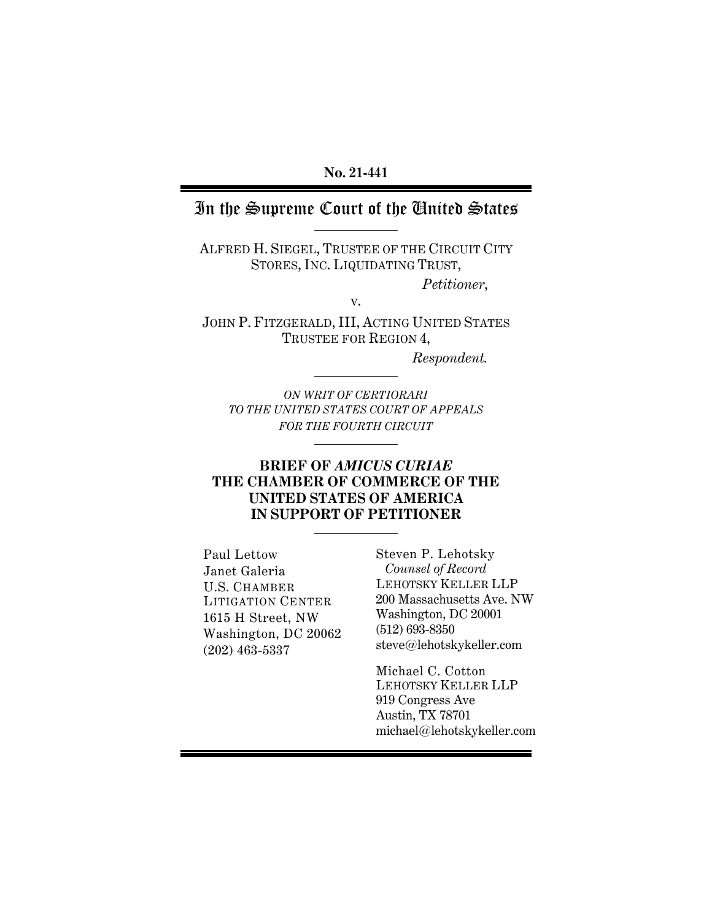### **No. 21-441**

## In the Supreme Court of the United States

ALFRED H. SIEGEL, TRUSTEE OF THE CIRCUIT CITY STORES, INC. LIQUIDATING TRUST,

*Petitioner*,

JOHN P. FITZGERALD, III, ACTING UNITED STATES TRUSTEE FOR REGION 4,

v.

*Respondent.* 

*ON WRIT OF CERTIORARI TO THE UNITED STATES COURT OF APPEALS FOR THE FOURTH CIRCUIT*

### **BRIEF OF** *AMICUS CURIAE*  **THE CHAMBER OF COMMERCE OF THE UNITED STATES OF AMERICA IN SUPPORT OF PETITIONER**

Paul Lettow Janet Galeria U.S. CHAMBER LITIGATION CENTER 1615 H Street, NW Washington, DC 20062 (202) 463-5337

Steven P. Lehotsky *Counsel of Record*  LEHOTSKY KELLER LLP 200 Massachusetts Ave. NW Washington, DC 20001 (512) 693-8350 steve@lehotskykeller.com

Michael C. Cotton LEHOTSKY KELLER LLP 919 Congress Ave Austin, TX 78701 michael@lehotskykeller.com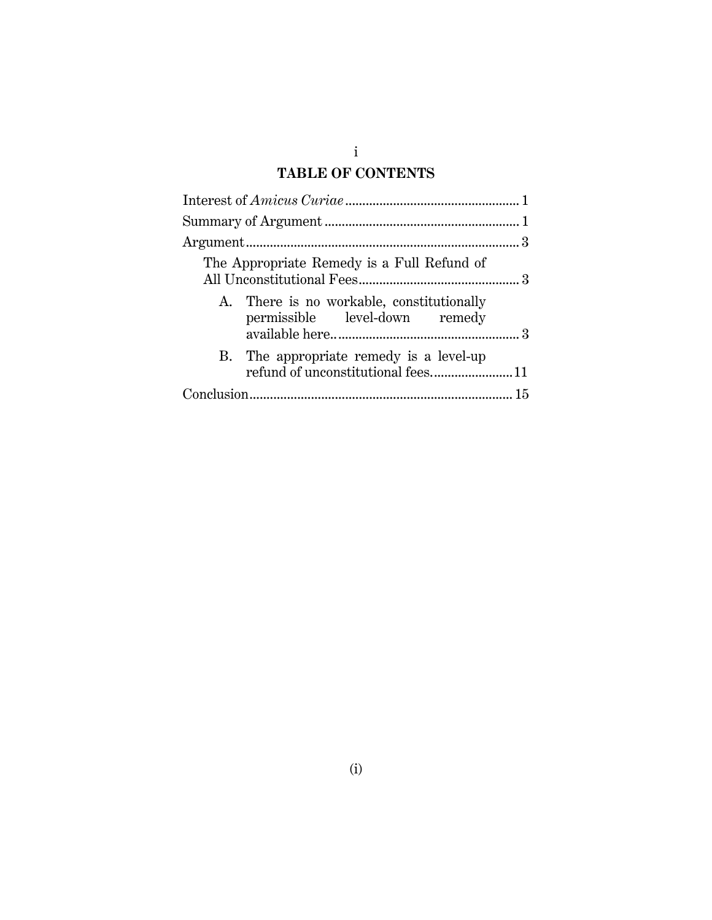## i **TABLE OF CONTENTS**

|  | The Appropriate Remedy is a Full Refund of                                 |  |
|--|----------------------------------------------------------------------------|--|
|  | A. There is no workable, constitutionally<br>permissible level-down remedy |  |
|  | B. The appropriate remedy is a level-up                                    |  |
|  |                                                                            |  |
|  |                                                                            |  |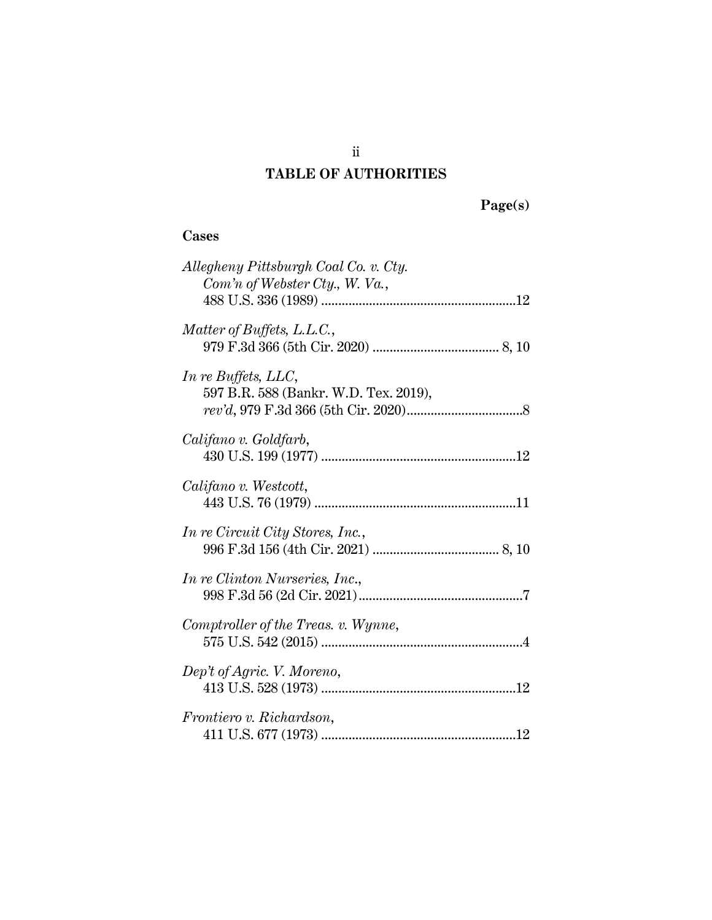## **TABLE OF AUTHORITIES**

 **Page(s)** 

## **Cases**

| Allegheny Pittsburgh Coal Co. v. Cty.<br>Com'n of Webster Cty., W. Va., |
|-------------------------------------------------------------------------|
|                                                                         |
| Matter of Buffets, L.L.C.,                                              |
| In re Buffets, LLC,<br>597 B.R. 588 (Bankr. W.D. Tex. 2019),            |
| Califano v. Goldfarb,                                                   |
| Califano v. Westcott,                                                   |
| In re Circuit City Stores, Inc.,                                        |
| <i>In re Clinton Nurseries, Inc.,</i>                                   |
| Comptroller of the Treas. v. Wynne,                                     |
| Dep't of Agric. V. Moreno,                                              |
| Frontiero v. Richardson,                                                |

ii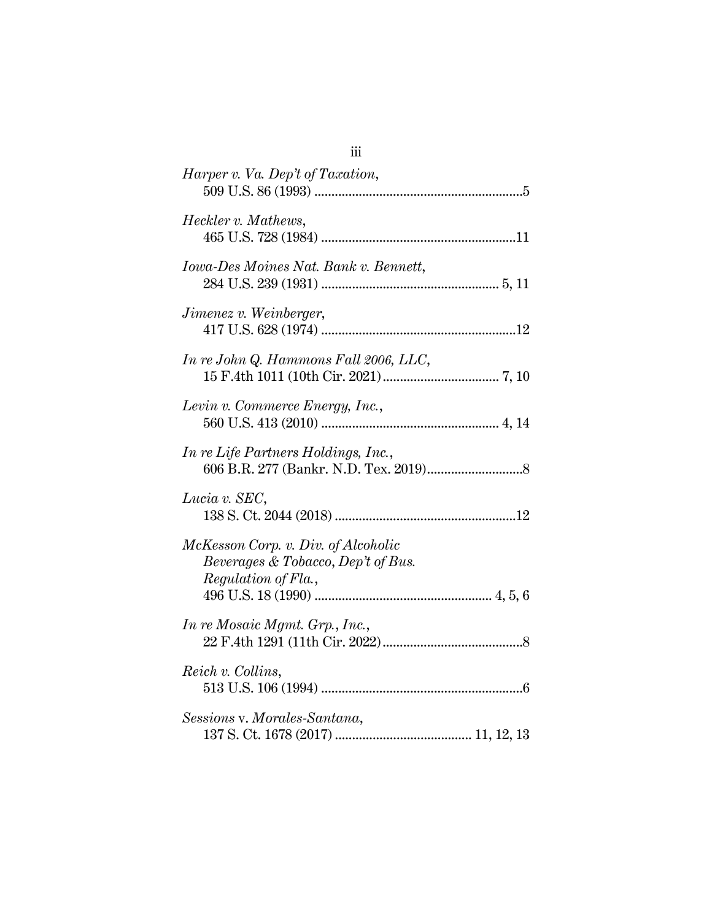| Harper v. Va. Dep't of Taxation,                                                                 |
|--------------------------------------------------------------------------------------------------|
| Heckler v. Mathews,                                                                              |
| Iowa-Des Moines Nat. Bank v. Bennett,                                                            |
| <i>Jimenez v. Weinberger,</i>                                                                    |
| In re John Q. Hammons Fall 2006, LLC,                                                            |
| Levin v. Commerce Energy, Inc.,                                                                  |
| In re Life Partners Holdings, Inc.,                                                              |
| Lucia v. SEC,                                                                                    |
| McKesson Corp. v. Div. of Alcoholic<br>Beverages & Tobacco, Dep't of Bus.<br>Regulation of Fla., |
| In re Mosaic Mgmt. Grp., Inc.,                                                                   |
| Reich v. Collins,                                                                                |
| Sessions v. Morales-Santana,                                                                     |

# iii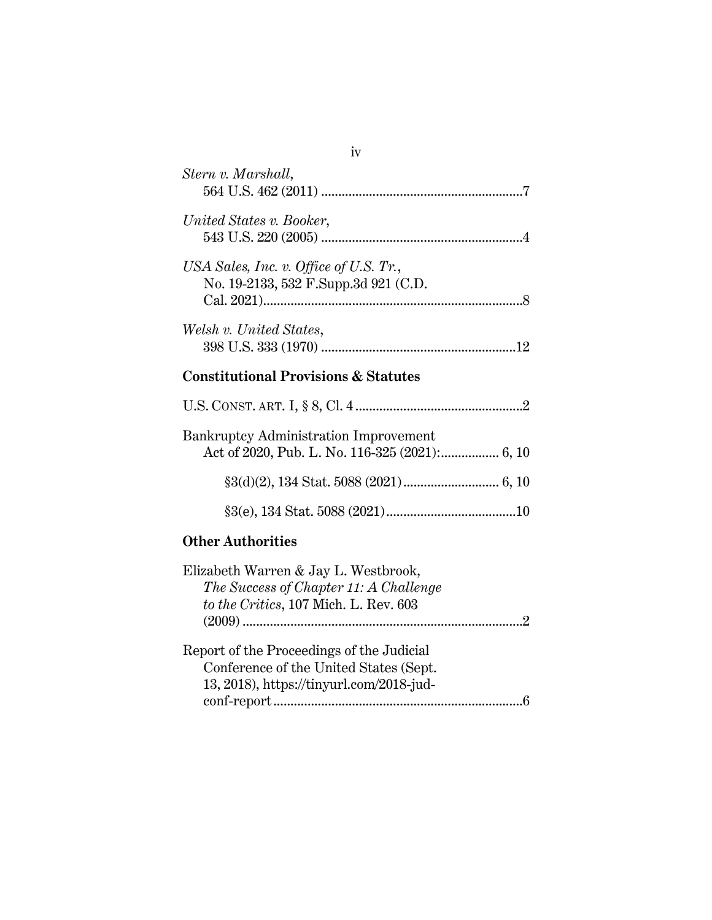| Stern v. Marshall,                                                               |
|----------------------------------------------------------------------------------|
| United States v. Booker,                                                         |
| USA Sales, Inc. v. Office of U.S. $Tr$ ,<br>No. 19-2133, 532 F.Supp.3d 921 (C.D. |
| Welsh v. United States,                                                          |
| <b>Constitutional Provisions &amp; Statutes</b>                                  |

| <b>Bankruptcy Administration Improvement</b> |  |
|----------------------------------------------|--|
|                                              |  |
|                                              |  |
|                                              |  |

## **Other Authorities**

| Elizabeth Warren & Jay L. Westbrook,      |  |
|-------------------------------------------|--|
| The Success of Chapter 11: A Challenge    |  |
| to the Critics, 107 Mich. L. Rev. 603     |  |
|                                           |  |
|                                           |  |
| Report of the Proceedings of the Judicial |  |
| Conference of the United States (Sept.    |  |
| 13, 2018), https://tinyurl.com/2018-jud-  |  |
|                                           |  |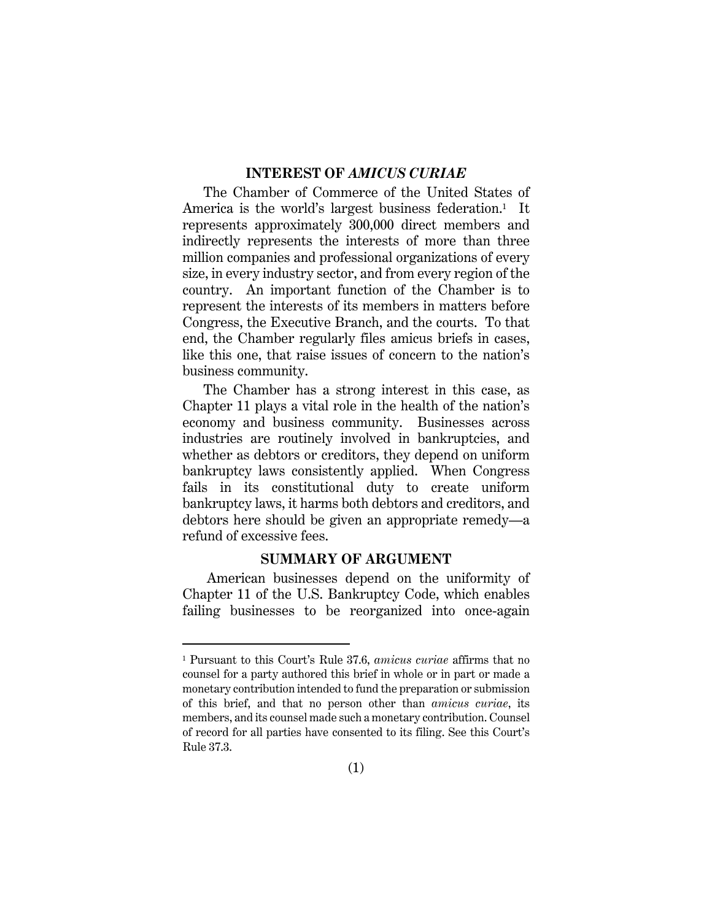### **INTEREST OF** *AMICUS CURIAE*

The Chamber of Commerce of the United States of America is the world's largest business federation.<sup>1</sup> It represents approximately 300,000 direct members and indirectly represents the interests of more than three million companies and professional organizations of every size, in every industry sector, and from every region of the country. An important function of the Chamber is to represent the interests of its members in matters before Congress, the Executive Branch, and the courts. To that end, the Chamber regularly files amicus briefs in cases, like this one, that raise issues of concern to the nation's business community.

The Chamber has a strong interest in this case, as Chapter 11 plays a vital role in the health of the nation's economy and business community. Businesses across industries are routinely involved in bankruptcies, and whether as debtors or creditors, they depend on uniform bankruptcy laws consistently applied. When Congress fails in its constitutional duty to create uniform bankruptcy laws, it harms both debtors and creditors, and debtors here should be given an appropriate remedy—a refund of excessive fees.

#### **SUMMARY OF ARGUMENT**

 American businesses depend on the uniformity of Chapter 11 of the U.S. Bankruptcy Code, which enables failing businesses to be reorganized into once-again

<sup>1</sup> Pursuant to this Court's Rule 37.6, *amicus curiae* affirms that no counsel for a party authored this brief in whole or in part or made a monetary contribution intended to fund the preparation or submission of this brief, and that no person other than *amicus curiae*, its members, and its counsel made such a monetary contribution. Counsel of record for all parties have consented to its filing. See this Court's Rule 37.3.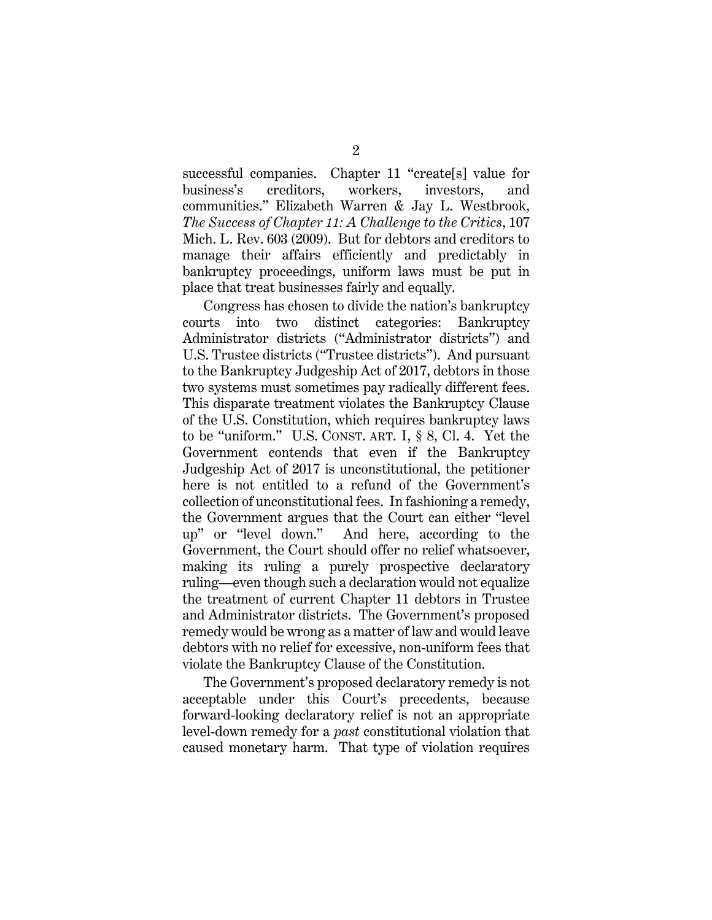successful companies. Chapter 11 "create[s] value for business's creditors, workers, investors, and communities." Elizabeth Warren & Jay L. Westbrook, *The Success of Chapter 11: A Challenge to the Critics*, 107 Mich. L. Rev. 603 (2009). But for debtors and creditors to manage their affairs efficiently and predictably in bankruptcy proceedings, uniform laws must be put in place that treat businesses fairly and equally.

Congress has chosen to divide the nation's bankruptcy courts into two distinct categories: Bankruptcy Administrator districts ("Administrator districts") and U.S. Trustee districts ("Trustee districts"). And pursuant to the Bankruptcy Judgeship Act of 2017, debtors in those two systems must sometimes pay radically different fees. This disparate treatment violates the Bankruptcy Clause of the U.S. Constitution, which requires bankruptcy laws to be "uniform." U.S. CONST. ART. I, § 8, Cl. 4. Yet the Government contends that even if the Bankruptcy Judgeship Act of 2017 is unconstitutional, the petitioner here is not entitled to a refund of the Government's collection of unconstitutional fees. In fashioning a remedy, the Government argues that the Court can either "level up" or "level down." And here, according to the Government, the Court should offer no relief whatsoever, making its ruling a purely prospective declaratory ruling—even though such a declaration would not equalize the treatment of current Chapter 11 debtors in Trustee and Administrator districts. The Government's proposed remedy would be wrong as a matter of law and would leave debtors with no relief for excessive, non-uniform fees that violate the Bankruptcy Clause of the Constitution.

The Government's proposed declaratory remedy is not acceptable under this Court's precedents, because forward-looking declaratory relief is not an appropriate level-down remedy for a *past* constitutional violation that caused monetary harm. That type of violation requires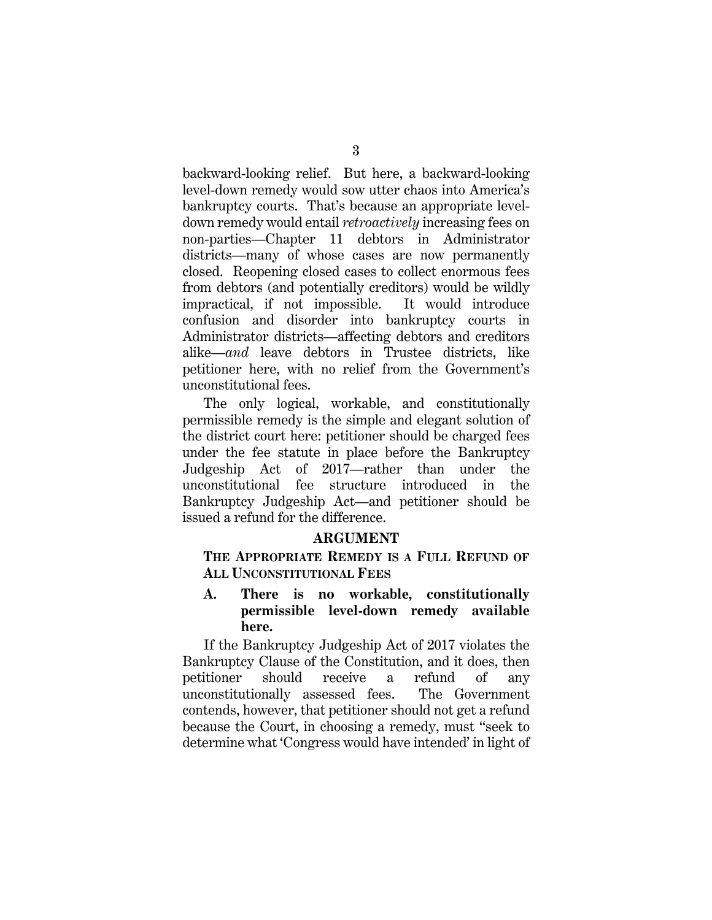backward-looking relief. But here, a backward-looking level-down remedy would sow utter chaos into America's bankruptcy courts. That's because an appropriate leveldown remedy would entail *retroactively* increasing fees on non-parties—Chapter 11 debtors in Administrator districts—many of whose cases are now permanently closed. Reopening closed cases to collect enormous fees from debtors (and potentially creditors) would be wildly impractical, if not impossible. It would introduce confusion and disorder into bankruptcy courts in Administrator districts—affecting debtors and creditors alike—*and* leave debtors in Trustee districts, like petitioner here, with no relief from the Government's unconstitutional fees.

The only logical, workable, and constitutionally permissible remedy is the simple and elegant solution of the district court here: petitioner should be charged fees under the fee statute in place before the Bankruptcy Judgeship Act of 2017—rather than under the unconstitutional fee structure introduced in the Bankruptcy Judgeship Act—and petitioner should be issued a refund for the difference.

#### **ARGUMENT**

**THE APPROPRIATE REMEDY IS A FULL REFUND OF ALL UNCONSTITUTIONAL FEES**

**A. There is no workable, constitutionally permissible level-down remedy available here.** 

If the Bankruptcy Judgeship Act of 2017 violates the Bankruptcy Clause of the Constitution, and it does, then petitioner should receive a refund of any unconstitutionally assessed fees. The Government contends, however, that petitioner should not get a refund because the Court, in choosing a remedy, must "seek to determine what 'Congress would have intended' in light of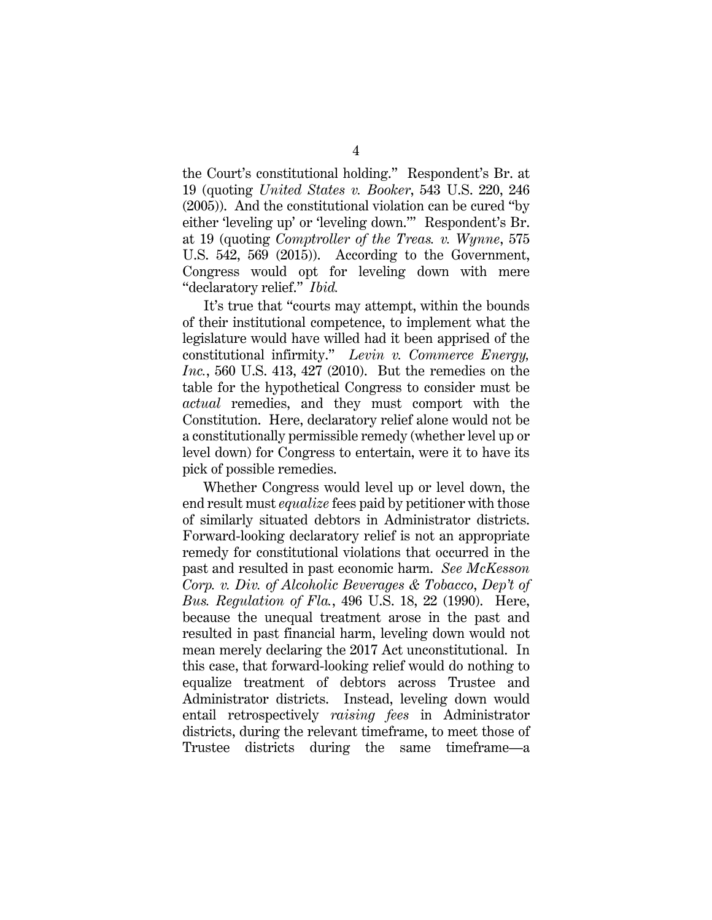the Court's constitutional holding." Respondent's Br. at 19 (quoting *United States v. Booker*, 543 U.S. 220, 246 (2005)). And the constitutional violation can be cured "by either 'leveling up' or 'leveling down.'" Respondent's Br. at 19 (quoting *Comptroller of the Treas. v. Wynne*, 575 U.S. 542, 569 (2015)). According to the Government, Congress would opt for leveling down with mere "declaratory relief." *Ibid.*

It's true that "courts may attempt, within the bounds of their institutional competence, to implement what the legislature would have willed had it been apprised of the constitutional infirmity." *Levin v. Commerce Energy, Inc.*, 560 U.S. 413, 427 (2010). But the remedies on the table for the hypothetical Congress to consider must be *actual* remedies, and they must comport with the Constitution. Here, declaratory relief alone would not be a constitutionally permissible remedy (whether level up or level down) for Congress to entertain, were it to have its pick of possible remedies.

Whether Congress would level up or level down, the end result must *equalize* fees paid by petitioner with those of similarly situated debtors in Administrator districts. Forward-looking declaratory relief is not an appropriate remedy for constitutional violations that occurred in the past and resulted in past economic harm. *See McKesson Corp. v. Div. of Alcoholic Beverages & Tobacco*, *Dep't of Bus. Regulation of Fla.*, 496 U.S. 18, 22 (1990). Here, because the unequal treatment arose in the past and resulted in past financial harm, leveling down would not mean merely declaring the 2017 Act unconstitutional. In this case, that forward-looking relief would do nothing to equalize treatment of debtors across Trustee and Administrator districts. Instead, leveling down would entail retrospectively *raising fees* in Administrator districts, during the relevant timeframe, to meet those of Trustee districts during the same timeframe—a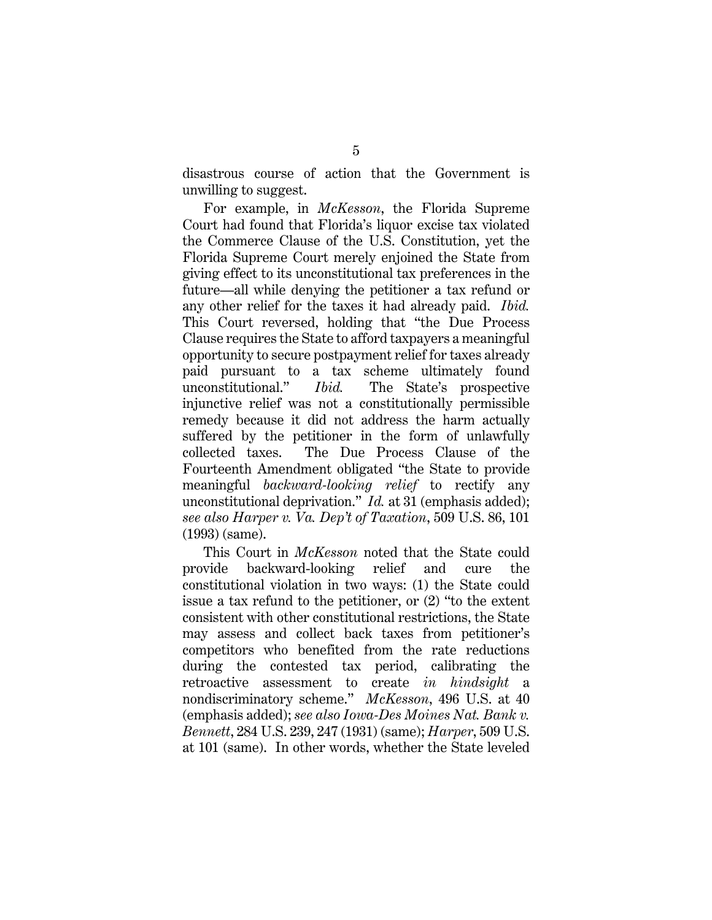disastrous course of action that the Government is unwilling to suggest.

For example, in *McKesson*, the Florida Supreme Court had found that Florida's liquor excise tax violated the Commerce Clause of the U.S. Constitution, yet the Florida Supreme Court merely enjoined the State from giving effect to its unconstitutional tax preferences in the future—all while denying the petitioner a tax refund or any other relief for the taxes it had already paid. *Ibid.* This Court reversed, holding that "the Due Process Clause requires the State to afford taxpayers a meaningful opportunity to secure postpayment relief for taxes already paid pursuant to a tax scheme ultimately found unconstitutional." *Ibid.* The State's prospective injunctive relief was not a constitutionally permissible remedy because it did not address the harm actually suffered by the petitioner in the form of unlawfully collected taxes. The Due Process Clause of the Fourteenth Amendment obligated "the State to provide meaningful *backward-looking relief* to rectify any unconstitutional deprivation." *Id.* at 31 (emphasis added); *see also Harper v. Va. Dep't of Taxation*, 509 U.S. 86, 101 (1993) (same).

This Court in *McKesson* noted that the State could provide backward-looking relief and cure the constitutional violation in two ways: (1) the State could issue a tax refund to the petitioner, or (2) "to the extent consistent with other constitutional restrictions, the State may assess and collect back taxes from petitioner's competitors who benefited from the rate reductions during the contested tax period, calibrating the retroactive assessment to create *in hindsight* a nondiscriminatory scheme." *McKesson*, 496 U.S. at 40 (emphasis added); *see also Iowa-Des Moines Nat. Bank v. Bennett*, 284 U.S. 239, 247 (1931) (same); *Harper*, 509 U.S. at 101 (same). In other words, whether the State leveled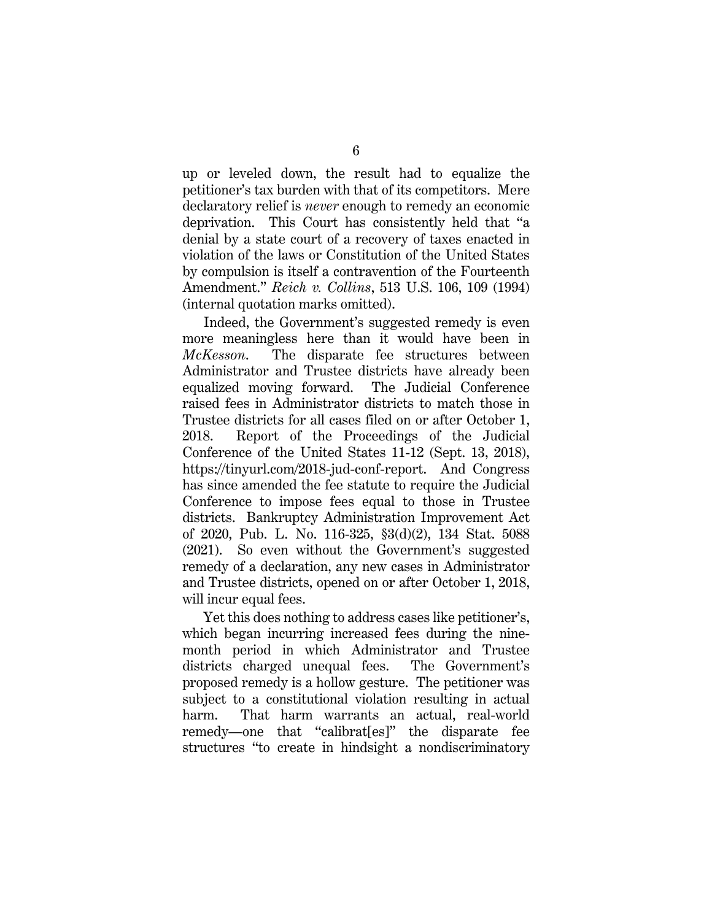up or leveled down, the result had to equalize the petitioner's tax burden with that of its competitors. Mere declaratory relief is *never* enough to remedy an economic deprivation. This Court has consistently held that "a denial by a state court of a recovery of taxes enacted in violation of the laws or Constitution of the United States by compulsion is itself a contravention of the Fourteenth Amendment." *Reich v. Collins*, 513 U.S. 106, 109 (1994) (internal quotation marks omitted).

Indeed, the Government's suggested remedy is even more meaningless here than it would have been in *McKesson*. The disparate fee structures between Administrator and Trustee districts have already been equalized moving forward. The Judicial Conference raised fees in Administrator districts to match those in Trustee districts for all cases filed on or after October 1, 2018. Report of the Proceedings of the Judicial Conference of the United States 11-12 (Sept. 13, 2018), https://tinyurl.com/2018-jud-conf-report. And Congress has since amended the fee statute to require the Judicial Conference to impose fees equal to those in Trustee districts. Bankruptcy Administration Improvement Act of 2020, Pub. L. No. 116-325, §3(d)(2), 134 Stat. 5088 (2021). So even without the Government's suggested remedy of a declaration, any new cases in Administrator and Trustee districts, opened on or after October 1, 2018, will incur equal fees.

Yet this does nothing to address cases like petitioner's, which began incurring increased fees during the ninemonth period in which Administrator and Trustee districts charged unequal fees. The Government's proposed remedy is a hollow gesture. The petitioner was subject to a constitutional violation resulting in actual harm. That harm warrants an actual, real-world remedy—one that "calibrat[es]" the disparate fee structures "to create in hindsight a nondiscriminatory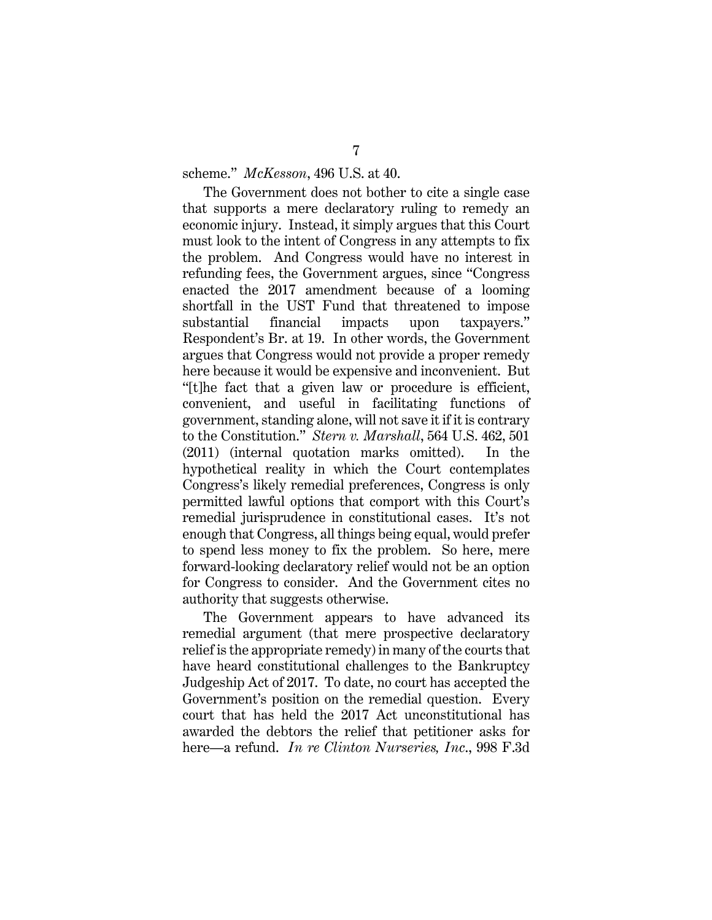scheme." *McKesson*, 496 U.S. at 40.

The Government does not bother to cite a single case that supports a mere declaratory ruling to remedy an economic injury. Instead, it simply argues that this Court must look to the intent of Congress in any attempts to fix the problem. And Congress would have no interest in refunding fees, the Government argues, since "Congress enacted the 2017 amendment because of a looming shortfall in the UST Fund that threatened to impose substantial financial impacts upon taxpayers." Respondent's Br. at 19. In other words, the Government argues that Congress would not provide a proper remedy here because it would be expensive and inconvenient. But "[t]he fact that a given law or procedure is efficient, convenient, and useful in facilitating functions of government, standing alone, will not save it if it is contrary to the Constitution." *Stern v. Marshall*, 564 U.S. 462, 501 (2011) (internal quotation marks omitted). In the hypothetical reality in which the Court contemplates Congress's likely remedial preferences, Congress is only permitted lawful options that comport with this Court's remedial jurisprudence in constitutional cases. It's not enough that Congress, all things being equal, would prefer to spend less money to fix the problem. So here, mere forward-looking declaratory relief would not be an option for Congress to consider. And the Government cites no authority that suggests otherwise.

The Government appears to have advanced its remedial argument (that mere prospective declaratory relief is the appropriate remedy) in many of the courts that have heard constitutional challenges to the Bankruptcy Judgeship Act of 2017. To date, no court has accepted the Government's position on the remedial question. Every court that has held the 2017 Act unconstitutional has awarded the debtors the relief that petitioner asks for here—a refund. *In re Clinton Nurseries, Inc*., 998 F.3d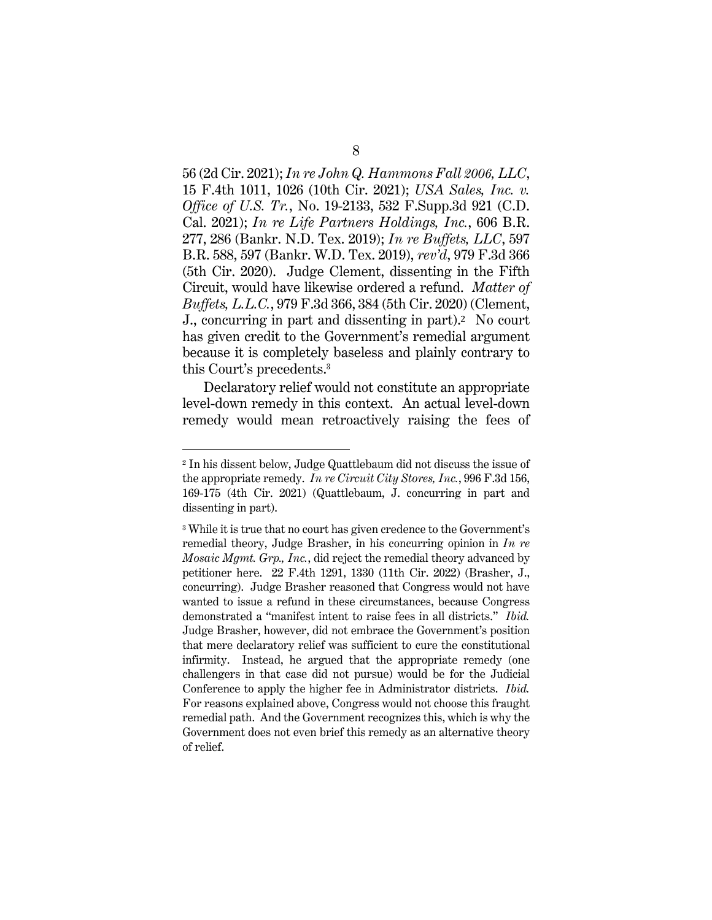56 (2d Cir. 2021); *In re John Q. Hammons Fall 2006, LLC*, 15 F.4th 1011, 1026 (10th Cir. 2021); *USA Sales, Inc. v. Office of U.S. Tr.*, No. 19-2133, 532 F.Supp.3d 921 (C.D. Cal. 2021); *In re Life Partners Holdings, Inc.*, 606 B.R. 277, 286 (Bankr. N.D. Tex. 2019); *In re Buffets, LLC*, 597 B.R. 588, 597 (Bankr. W.D. Tex. 2019), *rev'd*, 979 F.3d 366 (5th Cir. 2020). Judge Clement, dissenting in the Fifth Circuit, would have likewise ordered a refund. *Matter of Buffets, L.L.C.*, 979 F.3d 366, 384 (5th Cir. 2020) (Clement, J., concurring in part and dissenting in part).2 No court has given credit to the Government's remedial argument because it is completely baseless and plainly contrary to this Court's precedents.3

Declaratory relief would not constitute an appropriate level-down remedy in this context. An actual level-down remedy would mean retroactively raising the fees of

<sup>2</sup> In his dissent below, Judge Quattlebaum did not discuss the issue of the appropriate remedy. *In re Circuit City Stores, Inc.*, 996 F.3d 156, 169-175 (4th Cir. 2021) (Quattlebaum, J. concurring in part and dissenting in part).

<sup>3</sup> While it is true that no court has given credence to the Government's remedial theory, Judge Brasher, in his concurring opinion in *In re Mosaic Mgmt. Grp., Inc.*, did reject the remedial theory advanced by petitioner here. 22 F.4th 1291, 1330 (11th Cir. 2022) (Brasher, J., concurring). Judge Brasher reasoned that Congress would not have wanted to issue a refund in these circumstances, because Congress demonstrated a "manifest intent to raise fees in all districts." *Ibid.*  Judge Brasher, however, did not embrace the Government's position that mere declaratory relief was sufficient to cure the constitutional infirmity. Instead, he argued that the appropriate remedy (one challengers in that case did not pursue) would be for the Judicial Conference to apply the higher fee in Administrator districts. *Ibid.* For reasons explained above, Congress would not choose this fraught remedial path. And the Government recognizes this, which is why the Government does not even brief this remedy as an alternative theory of relief.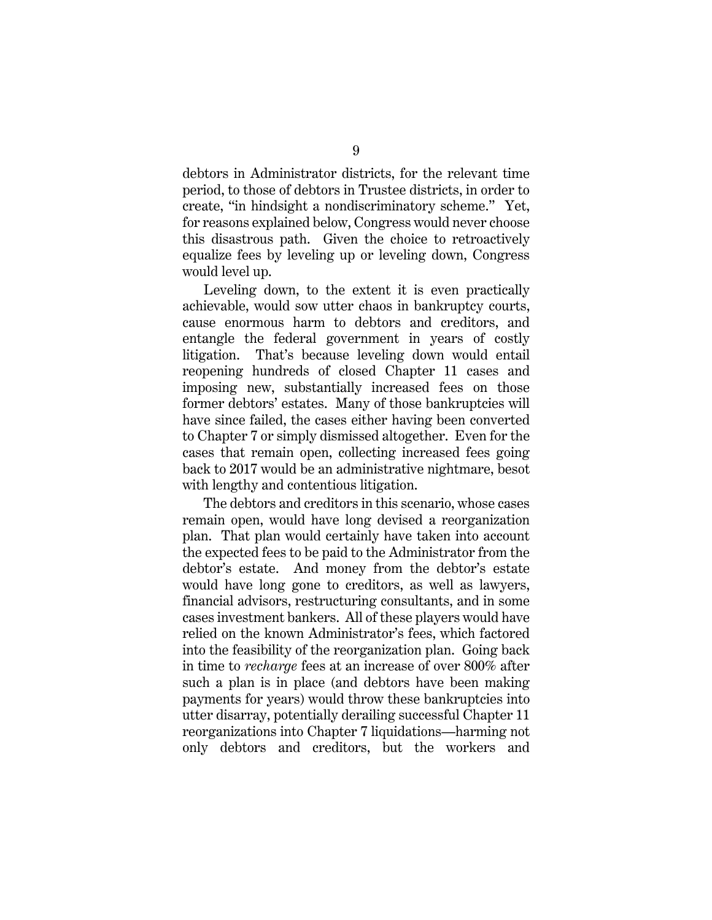debtors in Administrator districts, for the relevant time period, to those of debtors in Trustee districts, in order to create, "in hindsight a nondiscriminatory scheme." Yet, for reasons explained below, Congress would never choose this disastrous path. Given the choice to retroactively equalize fees by leveling up or leveling down, Congress would level up.

Leveling down, to the extent it is even practically achievable, would sow utter chaos in bankruptcy courts, cause enormous harm to debtors and creditors, and entangle the federal government in years of costly litigation. That's because leveling down would entail reopening hundreds of closed Chapter 11 cases and imposing new, substantially increased fees on those former debtors' estates. Many of those bankruptcies will have since failed, the cases either having been converted to Chapter 7 or simply dismissed altogether. Even for the cases that remain open, collecting increased fees going back to 2017 would be an administrative nightmare, besot with lengthy and contentious litigation.

The debtors and creditors in this scenario, whose cases remain open, would have long devised a reorganization plan. That plan would certainly have taken into account the expected fees to be paid to the Administrator from the debtor's estate. And money from the debtor's estate would have long gone to creditors, as well as lawyers, financial advisors, restructuring consultants, and in some cases investment bankers. All of these players would have relied on the known Administrator's fees, which factored into the feasibility of the reorganization plan. Going back in time to *recharge* fees at an increase of over 800% after such a plan is in place (and debtors have been making payments for years) would throw these bankruptcies into utter disarray, potentially derailing successful Chapter 11 reorganizations into Chapter 7 liquidations—harming not only debtors and creditors, but the workers and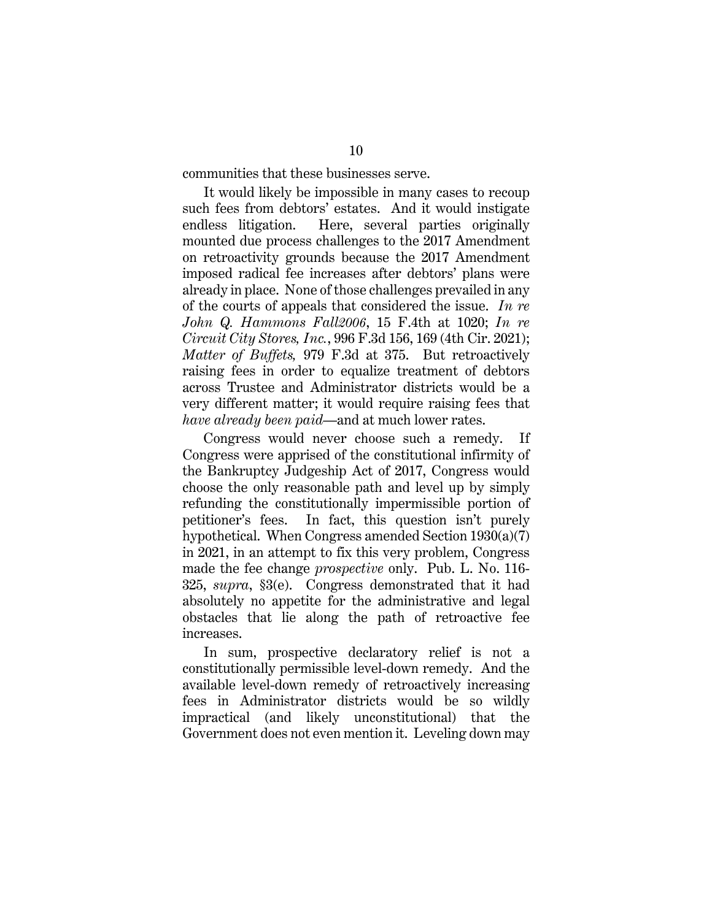communities that these businesses serve.

It would likely be impossible in many cases to recoup such fees from debtors' estates. And it would instigate endless litigation. Here, several parties originally mounted due process challenges to the 2017 Amendment on retroactivity grounds because the 2017 Amendment imposed radical fee increases after debtors' plans were already in place. None of those challenges prevailed in any of the courts of appeals that considered the issue. *In re John Q. Hammons Fall2006*, 15 F.4th at 1020; *In re Circuit City Stores, Inc.*, 996 F.3d 156, 169 (4th Cir. 2021); *Matter of Buffets,* 979 F.3d at 375. But retroactively raising fees in order to equalize treatment of debtors across Trustee and Administrator districts would be a very different matter; it would require raising fees that *have already been paid*—and at much lower rates.

Congress would never choose such a remedy. If Congress were apprised of the constitutional infirmity of the Bankruptcy Judgeship Act of 2017, Congress would choose the only reasonable path and level up by simply refunding the constitutionally impermissible portion of petitioner's fees. In fact, this question isn't purely hypothetical. When Congress amended Section 1930(a)(7) in 2021, in an attempt to fix this very problem, Congress made the fee change *prospective* only. Pub. L. No. 116- 325, *supra*, §3(e). Congress demonstrated that it had absolutely no appetite for the administrative and legal obstacles that lie along the path of retroactive fee increases.

In sum, prospective declaratory relief is not a constitutionally permissible level-down remedy. And the available level-down remedy of retroactively increasing fees in Administrator districts would be so wildly impractical (and likely unconstitutional) that the Government does not even mention it. Leveling down may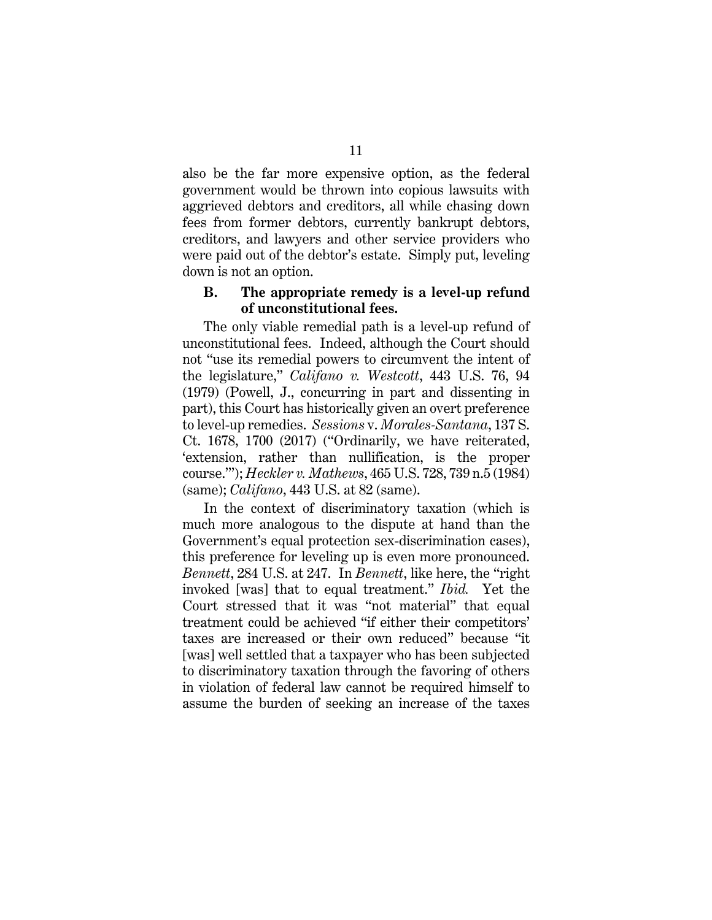also be the far more expensive option, as the federal government would be thrown into copious lawsuits with aggrieved debtors and creditors, all while chasing down fees from former debtors, currently bankrupt debtors, creditors, and lawyers and other service providers who were paid out of the debtor's estate. Simply put, leveling down is not an option.

### **B. The appropriate remedy is a level-up refund of unconstitutional fees.**

The only viable remedial path is a level-up refund of unconstitutional fees. Indeed, although the Court should not "use its remedial powers to circumvent the intent of the legislature," *Califano v. Westcott*, 443 U.S. 76, 94 (1979) (Powell, J., concurring in part and dissenting in part), this Court has historically given an overt preference to level-up remedies. *Sessions* v. *Morales-Santana*, 137 S. Ct. 1678, 1700 (2017) ("Ordinarily, we have reiterated, 'extension, rather than nullification, is the proper course.'"); *Heckler v. Mathews*, 465 U.S. 728, 739 n.5 (1984) (same); *Califano*, 443 U.S. at 82 (same).

In the context of discriminatory taxation (which is much more analogous to the dispute at hand than the Government's equal protection sex-discrimination cases), this preference for leveling up is even more pronounced. *Bennett*, 284 U.S. at 247. In *Bennett*, like here, the "right invoked [was] that to equal treatment." *Ibid.* Yet the Court stressed that it was "not material" that equal treatment could be achieved "if either their competitors' taxes are increased or their own reduced" because "it [was] well settled that a taxpayer who has been subjected to discriminatory taxation through the favoring of others in violation of federal law cannot be required himself to assume the burden of seeking an increase of the taxes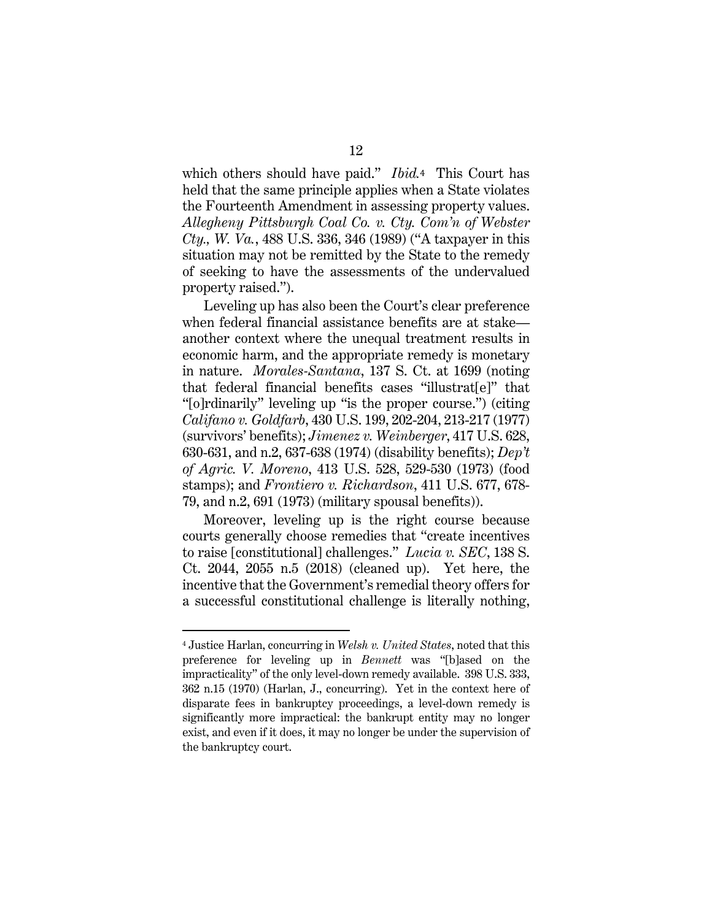which others should have paid." *Ibid.*4 This Court has held that the same principle applies when a State violates the Fourteenth Amendment in assessing property values. *Allegheny Pittsburgh Coal Co. v. Cty. Com'n of Webster Cty., W. Va.*, 488 U.S. 336, 346 (1989) ("A taxpayer in this situation may not be remitted by the State to the remedy of seeking to have the assessments of the undervalued property raised.").

Leveling up has also been the Court's clear preference when federal financial assistance benefits are at stake another context where the unequal treatment results in economic harm, and the appropriate remedy is monetary in nature. *Morales-Santana*, 137 S. Ct. at 1699 (noting that federal financial benefits cases "illustrat[e]" that "[o]rdinarily" leveling up "is the proper course.") (citing *Califano v. Goldfarb*, 430 U.S. 199, 202-204, 213-217 (1977) (survivors' benefits); *Jimenez v. Weinberger*, 417 U.S. 628, 630-631, and n.2, 637-638 (1974) (disability benefits); *Dep't of Agric. V. Moreno*, 413 U.S. 528, 529-530 (1973) (food stamps); and *Frontiero v. Richardson*, 411 U.S. 677, 678- 79, and n.2, 691 (1973) (military spousal benefits)).

Moreover, leveling up is the right course because courts generally choose remedies that "create incentives to raise [constitutional] challenges." *Lucia v. SEC*, 138 S. Ct. 2044, 2055 n.5 (2018) (cleaned up). Yet here, the incentive that the Government's remedial theory offers for a successful constitutional challenge is literally nothing,

<sup>4</sup> Justice Harlan, concurring in *Welsh v. United States*, noted that this preference for leveling up in *Bennett* was "[b]ased on the impracticality" of the only level-down remedy available. 398 U.S. 333, 362 n.15 (1970) (Harlan, J., concurring). Yet in the context here of disparate fees in bankruptcy proceedings, a level-down remedy is significantly more impractical: the bankrupt entity may no longer exist, and even if it does, it may no longer be under the supervision of the bankruptcy court.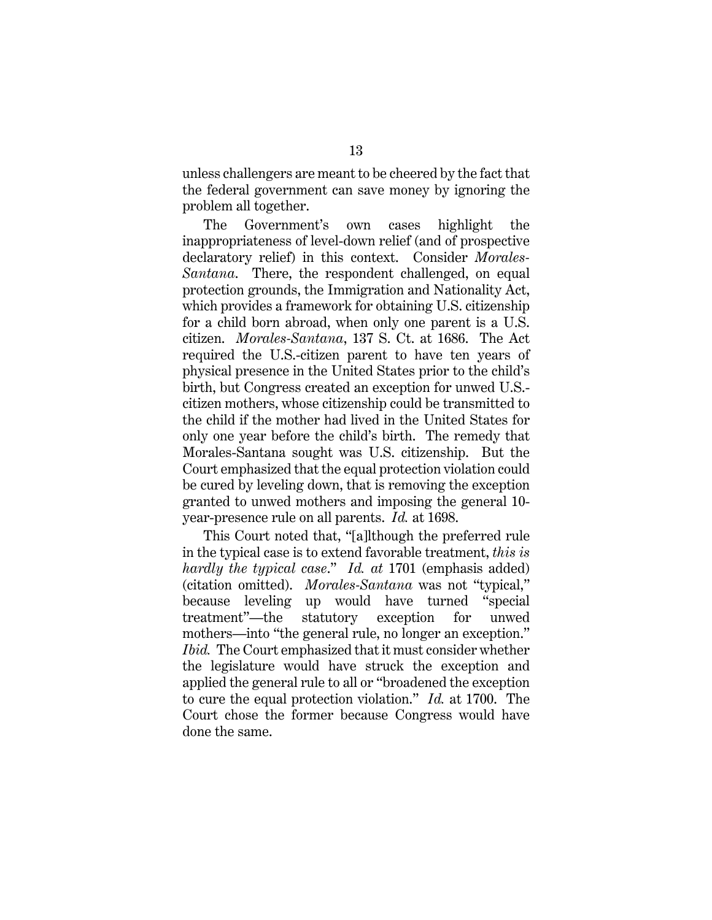unless challengers are meant to be cheered by the fact that the federal government can save money by ignoring the problem all together.

The Government's own cases highlight the inappropriateness of level-down relief (and of prospective declaratory relief) in this context. Consider *Morales-Santana*. There, the respondent challenged, on equal protection grounds, the Immigration and Nationality Act, which provides a framework for obtaining U.S. citizenship for a child born abroad, when only one parent is a U.S. citizen. *Morales-Santana*, 137 S. Ct. at 1686. The Act required the U.S.-citizen parent to have ten years of physical presence in the United States prior to the child's birth, but Congress created an exception for unwed U.S. citizen mothers, whose citizenship could be transmitted to the child if the mother had lived in the United States for only one year before the child's birth. The remedy that Morales-Santana sought was U.S. citizenship. But the Court emphasized that the equal protection violation could be cured by leveling down, that is removing the exception granted to unwed mothers and imposing the general 10 year-presence rule on all parents. *Id.* at 1698.

This Court noted that, "[a]lthough the preferred rule in the typical case is to extend favorable treatment, *this is hardly the typical case*." *Id. at* 1701 (emphasis added) (citation omitted). *Morales-Santana* was not "typical," because leveling up would have turned "special treatment"—the statutory exception for unwed mothers—into "the general rule, no longer an exception." *Ibid.* The Court emphasized that it must consider whether the legislature would have struck the exception and applied the general rule to all or "broadened the exception to cure the equal protection violation." *Id.* at 1700. The Court chose the former because Congress would have done the same.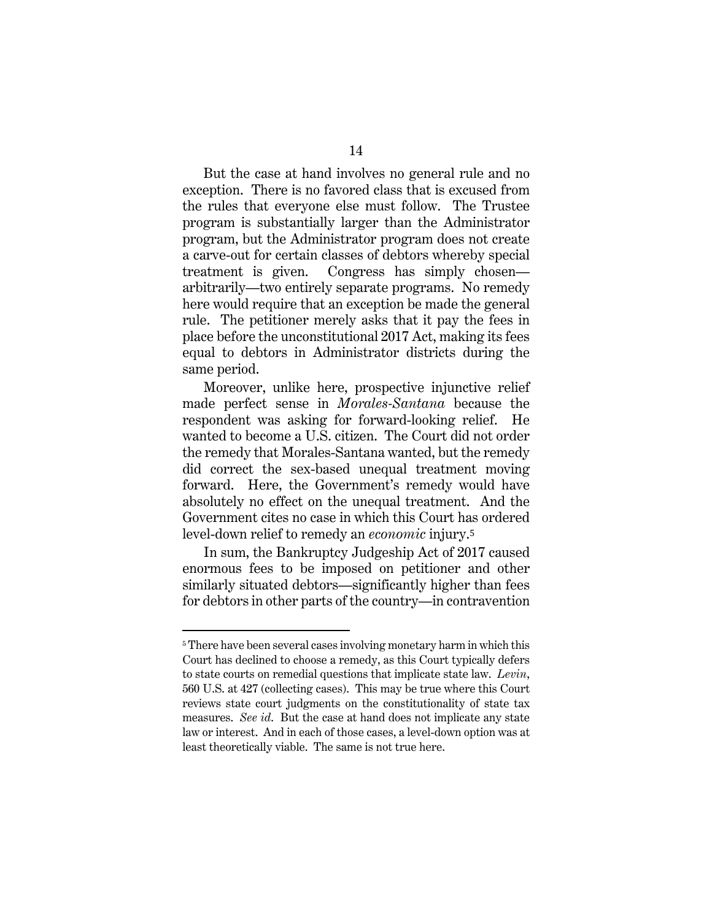But the case at hand involves no general rule and no exception. There is no favored class that is excused from the rules that everyone else must follow. The Trustee program is substantially larger than the Administrator program, but the Administrator program does not create a carve-out for certain classes of debtors whereby special treatment is given. Congress has simply chosen arbitrarily—two entirely separate programs. No remedy here would require that an exception be made the general rule. The petitioner merely asks that it pay the fees in place before the unconstitutional 2017 Act, making its fees equal to debtors in Administrator districts during the same period.

Moreover, unlike here, prospective injunctive relief made perfect sense in *Morales-Santana* because the respondent was asking for forward-looking relief. He wanted to become a U.S. citizen. The Court did not order the remedy that Morales-Santana wanted, but the remedy did correct the sex-based unequal treatment moving forward. Here, the Government's remedy would have absolutely no effect on the unequal treatment. And the Government cites no case in which this Court has ordered level-down relief to remedy an *economic* injury.<sup>5</sup>

In sum, the Bankruptcy Judgeship Act of 2017 caused enormous fees to be imposed on petitioner and other similarly situated debtors—significantly higher than fees for debtors in other parts of the country—in contravention

<sup>&</sup>lt;sup>5</sup> There have been several cases involving monetary harm in which this Court has declined to choose a remedy, as this Court typically defers to state courts on remedial questions that implicate state law. *Levin*, 560 U.S. at 427 (collecting cases). This may be true where this Court reviews state court judgments on the constitutionality of state tax measures. *See id*. But the case at hand does not implicate any state law or interest. And in each of those cases, a level-down option was at least theoretically viable. The same is not true here.